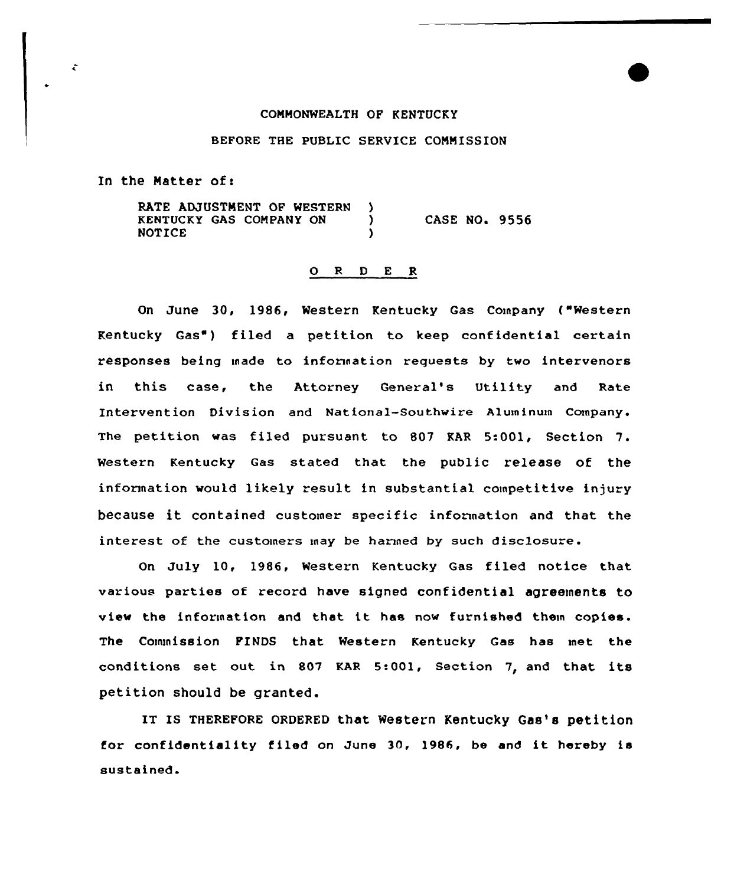## COMMONWEALTH OP KENTUCKY

## BEFORE THE PUBLIC SERVICE COMMISSION

In the Matter of:

÷

RATE ADJUSTMENT OF WESTERN ١. KENTUCKY GAS COMPANY ON  $\bigcup_{n=0}^{\infty}$ CASE NO. 9556 **NOTICE** 

## O R D E R

On June 30, 1986, Western Kentucky Gas Company ("Western Kentucky Gas") filed a petition to keep confidential certain responses being made to information requests by two intervenors in this case, the Attorney General's Utility and Rate Intervention Division and National-Southwire Aluminum Company. The petition was filed pursuant to 807 KAR 5:001, Section 7. Western Kentucky Gas stated that the public release of the information would likely result in substantial competitive injury because it contained customer specific information and that the interest of the customers may be harmed by such disclosure.

On July 10, 19&6, Western Kentucky Gas filed notice that various parties of record have signed confidential agreements to view the information and that it has now furnished them copies. The Commission PINDS that Western Kentucky Gas has met the conditions set out in &07 KAR 5:001, Section 7, and that its petition should be granted.

IT IS THEREFORE ORDERED that Western Kentucky Gas's petition for confidentiality filed on June 30, 1986, be and it hereby is sustained.